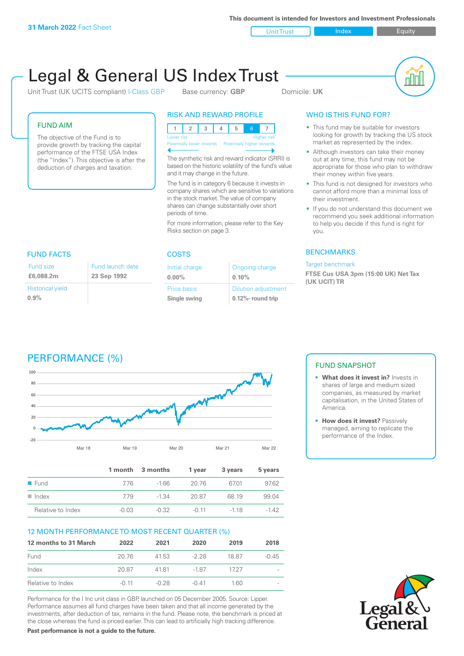**This document is intended for Investors and Investment Professionals**

Unit Trust Index I Equity

# Legal & General US Index Trust

Unit Trust (UK UCITS compliant) I-Class GBP Base currency: **GBP** Domicile: UK



### FUND AIM

The objective of the Fund is to provide growth by tracking the capital performance of the FTSE USA Index (the "Index"). This objective is after the deduction of charges and taxation.

### RISK AND REWARD PROFILE

|                                                      | Lower risk |  |  |  | <b>Higher risk</b> |
|------------------------------------------------------|------------|--|--|--|--------------------|
| Potentially lower rewards Potentially higher rewards |            |  |  |  |                    |
|                                                      |            |  |  |  |                    |

The synthetic risk and reward indicator (SRRI) is based on the historic volatility of the fund's value and it may change in the future.

The fund is in category 6 because it invests in company shares which are sensitive to variations in the stock market. The value of company shares can change substantially over short periods of time.

Ongoing charge

Dilution adjustment **0.12%- round trip**

**0.10%**

For more information, please refer to the Key Risks section on page 3.

Initial charge **0.00%**

Price basis **Single swing**

### WHO IS THIS FUND FOR?

- This fund may be suitable for investors looking for growth by tracking the US stock market as represented by the index.
- Although investors can take their money out at any time, this fund may not be appropriate for those who plan to withdraw their money within five years.
- This fund is not designed for investors who cannot afford more than a minimal loss of their investment.
- If you do not understand this document we recommend you seek additional information to help you decide if this fund is right for you.

#### **BENCHMARKS**

#### Target benchmark

**FTSE Cus USA 3pm (15:00 UK) Net Tax (UK UCIT) TR**

| <b>FUND FACTS</b>               | <b>COSTS</b>                    |                         |
|---------------------------------|---------------------------------|-------------------------|
| Fund size<br>£6,088,2m          | Fund launch date<br>23 Sep 1992 | Initial cha<br>$0.00\%$ |
| <b>Historical yield</b><br>0.9% |                                 | Price bas<br>Single sv  |



|                      |       | 1 month 3 months | 1 year | 3 years | 5 years |
|----------------------|-------|------------------|--------|---------|---------|
| $\blacksquare$ Fund  | 776   | $-166$           | 20.76  | 6701    | 97.62   |
| $\blacksquare$ Index | 779   | $-1.34$          | 20.87  | 68 19   | 99.04   |
| Relative to Index    | -0.03 | $-0.32$          | -0.11  | $-118$  | -142    |

#### 12 MONTH PERFORMANCE TO MOST RECENT QUARTER (%)

| 12 months to 31 March | 2022    | 2021    | 2020    | 2019  | 2018    |
|-----------------------|---------|---------|---------|-------|---------|
| Fund                  | 20.76   | 41.53   | $-228$  | 18.87 | $-0.45$ |
| Index                 | 20.87   | 4181    | $-1.87$ | 1727  |         |
| Relative to Index     | $-0.11$ | $-0.28$ | $-0.41$ | 1 60. |         |

Performance for the I Inc unit class in GBP, launched on 05 December 2005. Source: Lipper. Performance assumes all fund charges have been taken and that all income generated by the investments, after deduction of tax, remains in the fund. Please note, the benchmark is priced at the close whereas the fund is priced earlier. This can lead to artificially high tracking difference.

**Past performance is not a guide to the future.**

#### FUND SNAPSHOT

- **• What does it invest in?** Invests in shares of large and medium sized companies, as measured by market capitalisation, in the United States of America.
- **• How does it invest?** Passively managed, aiming to replicate the performance of the Index.

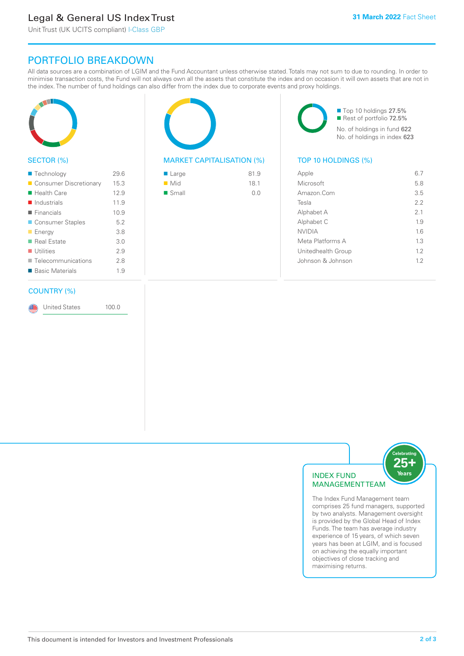# Legal & General US Index Trust

Unit Trust (UK UCITS compliant) I-Class GBP

## PORTFOLIO BREAKDOWN

All data sources are a combination of LGIM and the Fund Accountant unless otherwise stated. Totals may not sum to due to rounding. In order to minimise transaction costs, the Fund will not always own all the assets that constitute the index and on occasion it will own assets that are not in the index. The number of fund holdings can also differ from the index due to corporate events and proxy holdings.



#### SECTOR (%)

| ■ Technology               | 29.6 |
|----------------------------|------|
| ■ Consumer Discretionary   | 15.3 |
| $\blacksquare$ Health Care | 12.9 |
| $\blacksquare$ Industrials | 11.9 |
| $\blacksquare$ Financials  | 10.9 |
| ■ Consumer Staples         | 5.2  |
| $\blacksquare$ Energy      | 3.8  |
| ■ Real Estate              | 3.0  |
| $\blacksquare$ Utilities   | 2.9  |
| Telecommunications         | 2.8  |
| ■ Basic Materials          | 1.9  |
|                            |      |

#### COUNTRY (%)

United States 100.0

### MARKET CAPITALISATION (%) TOP 10 HOLDINGS (%)

| ■ Large              | 81.9 |
|----------------------|------|
| $\blacksquare$ Mid   | 18.1 |
| $\blacksquare$ Small | 0.0  |

■ Top 10 holdings 27.5% Rest of portfolio 72.5% No. of holdings in fund 622 No. of holdings in index 623

| Apple              | 67  |
|--------------------|-----|
| Microsoft          | 5.8 |
| Amazon.Com         | 3.5 |
| Tesla              | 22  |
| Alphabet A         | 2.1 |
| Alphabet C         | 1.9 |
| <b>NVIDIA</b>      | 16  |
| Meta Platforms A   | 13  |
| Unitedhealth Group | 12  |
| Johnson & Johnson  | 12  |
|                    |     |



The Index Fund Management team comprises 25 fund managers, supported by two analysts. Management oversight is provided by the Global Head of Index Funds. The team has average industry experience of 15 years, of which seven years has been at LGIM, and is focused on achieving the equally important objectives of close tracking and maximising returns.